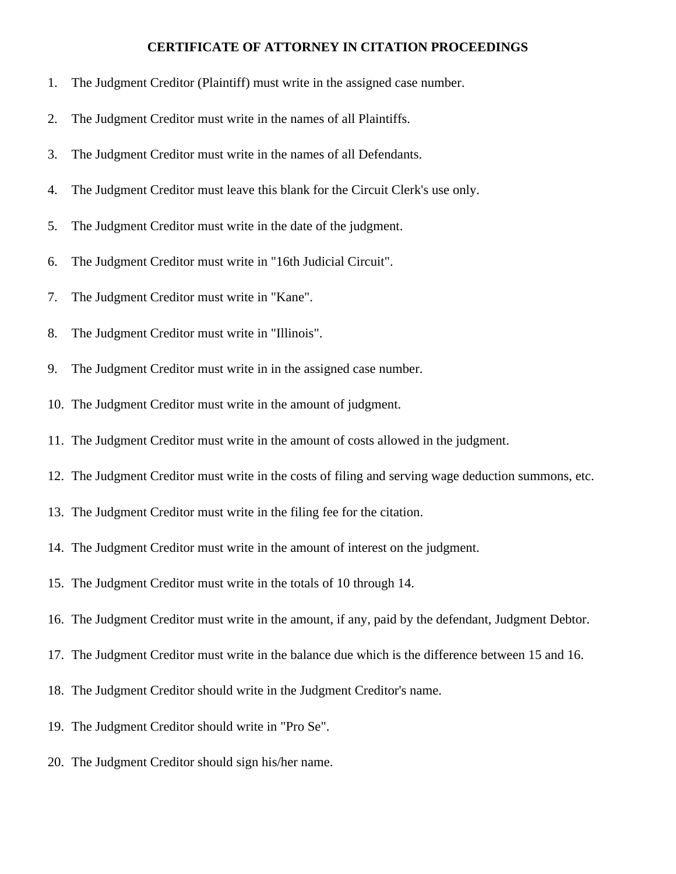## **CERTIFICATE OF ATTORNEY IN CITATION PROCEEDINGS**

- 1. The Judgment Creditor (Plaintiff) must write in the assigned case number.
- 2. The Judgment Creditor must write in the names of all Plaintiffs.
- 3. The Judgment Creditor must write in the names of all Defendants.
- 4. The Judgment Creditor must leave this blank for the Circuit Clerk's use only.
- 5. The Judgment Creditor must write in the date of the judgment.
- 6. The Judgment Creditor must write in "16th Judicial Circuit".
- 7. The Judgment Creditor must write in "Kane".
- 8. The Judgment Creditor must write in "Illinois".
- 9. The Judgment Creditor must write in in the assigned case number.
- 10. The Judgment Creditor must write in the amount of judgment.
- 11. The Judgment Creditor must write in the amount of costs allowed in the judgment.
- 12. The Judgment Creditor must write in the costs of filing and serving wage deduction summons, etc.
- 13. The Judgment Creditor must write in the filing fee for the citation.
- 14. The Judgment Creditor must write in the amount of interest on the judgment.
- 15. The Judgment Creditor must write in the totals of 10 through 14.
- 16. The Judgment Creditor must write in the amount, if any, paid by the defendant, Judgment Debtor.
- 17. The Judgment Creditor must write in the balance due which is the difference between 15 and 16.
- 18. The Judgment Creditor should write in the Judgment Creditor's name.
- 19. The Judgment Creditor should write in "Pro Se".
- 20. The Judgment Creditor should sign his/her name.